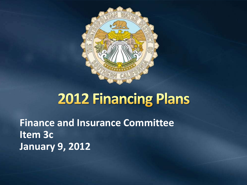

**Finance and Insurance Committee Item 3c January 9, 2012**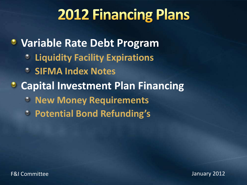**Variable Rate Debt Program Liquidity Facility Expirations SIFMA Index Notes Capital Investment Plan Financing**  $\bullet$ **New Money Requirements Potential Bond Refunding's**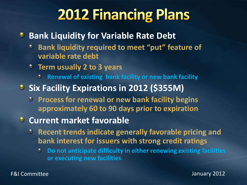#### **Bank Liquidity for Variable Rate Debt**

- **Bank liquidity required to meet "put" feature of variable rate debt**
- **Term usually 2 to 3 years**
	- **Renewal of existing bank facility or new bank facility**
- **Six Facility Expirations in 2012 (\$355M)** 
	- **Process for renewal or new bank facility begins approximately 60 to 90 days prior to expiration**

#### **<sup>2</sup>** Current market favorable

- **Recent trends indicate generally favorable pricing and bank interest for issuers with strong credit ratings**
	- **Do not anticipate difficulty in either renewing existing facilities**   $\bullet$ **or executing new facilities**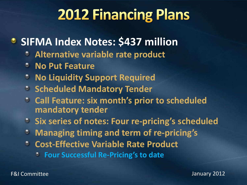### **• SIFMA Index Notes: \$437 million**

- **Alternative variable rate product**  $\bullet$
- **No Put Feature**  $\circ$
- **No Liquidity Support Required** O
- **Scheduled Mandatory Tender**
- **Call Feature: six month's prior to scheduled**   $\bullet$ **mandatory tender**
- **Six series of notes: Four re-pricing's scheduled**
- **Managing timing and term of re-pricing's**  $\bullet$
- **Cost-Effective Variable Rate Product**  $\bullet$ 
	- **Four Successful Re-Pricing's to date**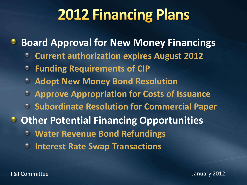**Board Approval for New Money Financings** ٠

- **Current authorization expires August 2012**  $\bullet$
- **Funding Requirements of CIP**  $\bullet$
- **Adopt New Money Bond Resolution**  $\bullet$
- **Approve Appropriation for Costs of Issuance**
- **Subordinate Resolution for Commercial Paper**
- **<sup>3</sup> Other Potential Financing Opportunities** 
	- **Water Revenue Bond Refundings** O
	- ۵ **Interest Rate Swap Transactions**